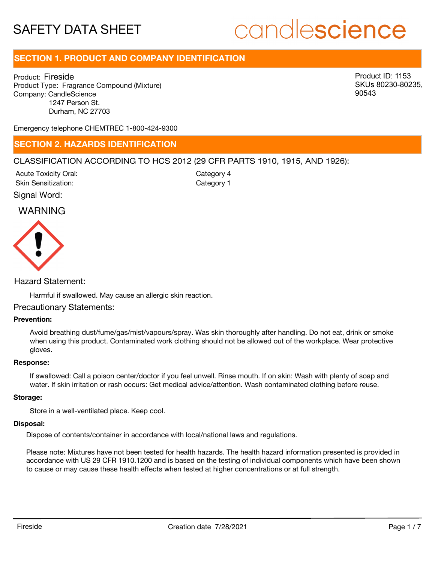# candlescience

# **SECTION 1. PRODUCT AND COMPANY IDENTIFICATION**

Product: Fireside Product Type: Fragrance Compound (Mixture) Company: CandleScience 1247 Person St. Durham, NC 27703

Product ID: 1153 SKUs 80230-80235, 90543

Emergency telephone CHEMTREC 1-800-424-9300

### **SECTION 2. HAZARDS IDENTIFICATION**

#### CLASSIFICATION ACCORDING TO HCS 2012 (29 CFR PARTS 1910, 1915, AND 1926):

Signal Word: Acute Toxicity Oral: Skin Sensitization:

Category 4 Category 1

### WARNING



#### Hazard Statement:

Harmful if swallowed. May cause an allergic skin reaction.

#### Precautionary Statements:

#### **Prevention:**

Avoid breathing dust/fume/gas/mist/vapours/spray. Was skin thoroughly after handling. Do not eat, drink or smoke when using this product. Contaminated work clothing should not be allowed out of the workplace. Wear protective gloves.

#### **Response:**

If swallowed: Call a poison center/doctor if you feel unwell. Rinse mouth. If on skin: Wash with plenty of soap and water. If skin irritation or rash occurs: Get medical advice/attention. Wash contaminated clothing before reuse.

#### **Storage:**

Store in a well-ventilated place. Keep cool.

#### **Disposal:**

Dispose of contents/container in accordance with local/national laws and regulations.

Please note: Mixtures have not been tested for health hazards. The health hazard information presented is provided in accordance with US 29 CFR 1910.1200 and is based on the testing of individual components which have been shown to cause or may cause these health effects when tested at higher concentrations or at full strength.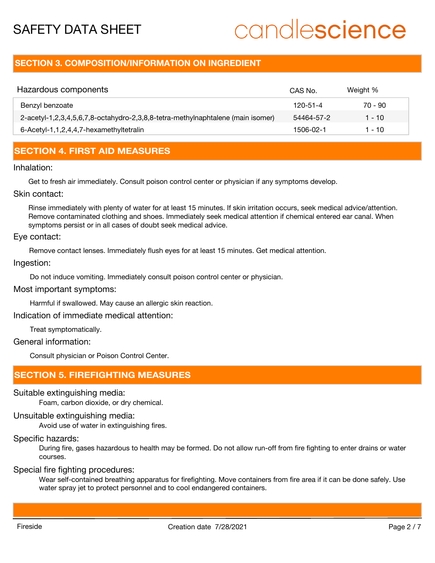# candlescience

## **SECTION 3. COMPOSITION/INFORMATION ON INGREDIENT**

| Hazardous components                                                            | CAS No.    | Weight %  |
|---------------------------------------------------------------------------------|------------|-----------|
| Benzyl benzoate                                                                 | 120-51-4   | $70 - 90$ |
| 2-acetyl-1,2,3,4,5,6,7,8-octahydro-2,3,8,8-tetra-methylnaphtalene (main isomer) | 54464-57-2 | 1 - 10    |
| 6-Acetyl-1,1,2,4,4,7-hexamethyltetralin                                         | 1506-02-1  | 1 - 10    |

# **SECTION 4. FIRST AID MEASURES**

#### Inhalation:

Get to fresh air immediately. Consult poison control center or physician if any symptoms develop.

Skin contact:

Rinse immediately with plenty of water for at least 15 minutes. If skin irritation occurs, seek medical advice/attention. Remove contaminated clothing and shoes. Immediately seek medical attention if chemical entered ear canal. When symptoms persist or in all cases of doubt seek medical advice.

#### Eye contact:

Remove contact lenses. Immediately flush eyes for at least 15 minutes. Get medical attention.

#### Ingestion:

Do not induce vomiting. Immediately consult poison control center or physician.

Most important symptoms:

Harmful if swallowed. May cause an allergic skin reaction.

Indication of immediate medical attention:

Treat symptomatically.

General information:

Consult physician or Poison Control Center.

# **SECTION 5. FIREFIGHTING MEASURES**

Suitable extinguishing media:

Foam, carbon dioxide, or dry chemical.

## Unsuitable extinguishing media:

Avoid use of water in extinguishing fires.

## Specific hazards:

During fire, gases hazardous to health may be formed. Do not allow run-off from fire fighting to enter drains or water courses.

Special fire fighting procedures:

Wear self-contained breathing apparatus for firefighting. Move containers from fire area if it can be done safely. Use water spray jet to protect personnel and to cool endangered containers.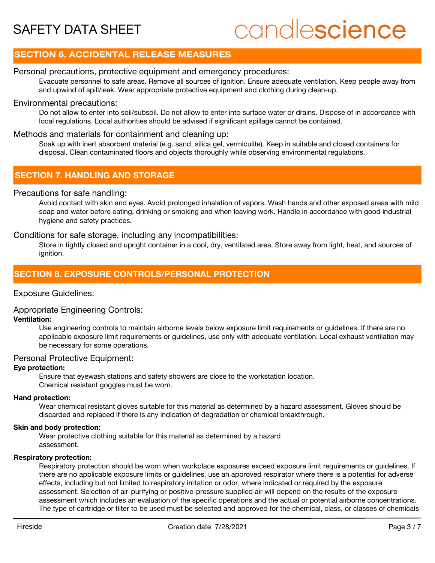# candlescience

# **SECTION 6. ACCIDENTAL RELEASE MEASURES**

### Personal precautions, protective equipment and emergency procedures:

Evacuate personnel to safe areas. Remove all sources of ignition. Ensure adequate ventilation. Keep people away from and upwind of spill/leak. Wear appropriate protective equipment and clothing during clean-up.

#### Environmental precautions:

Do not allow to enter into soil/subsoil. Do not allow to enter into surface water or drains. Dispose of in accordance with local regulations. Local authorities should be advised if significant spillage cannot be contained.

#### Methods and materials for containment and cleaning up:

Soak up with inert absorbent material (e.g. sand, silica gel, vermiculite). Keep in suitable and closed containers for disposal. Clean contaminated floors and objects thoroughly while observing environmental regulations.

# **SECTION 7. HANDLING AND STORAGE**

#### Precautions for safe handling:

Avoid contact with skin and eyes. Avoid prolonged inhalation of vapors. Wash hands and other exposed areas with mild soap and water before eating, drinking or smoking and when leaving work. Handle in accordance with good industrial hygiene and safety practices.

#### Conditions for safe storage, including any incompatibilities:

Store in tightly closed and upright container in a cool, dry, ventilated area. Store away from light, heat, and sources of ignition.

### **SECTION 8. EXPOSURE CONTROLS/PERSONAL PROTECTION**

#### Exposure Guidelines:

#### Appropriate Engineering Controls:

#### **Ventilation:**

Use engineering controls to maintain airborne levels below exposure limit requirements or guidelines. If there are no applicable exposure limit requirements or guidelines, use only with adequate ventilation. Local exhaust ventilation may be necessary for some operations.

#### Personal Protective Equipment:

#### **Eye protection:**

Ensure that eyewash stations and safety showers are close to the workstation location. Chemical resistant goggles must be worn.

#### **Hand protection:**

Wear chemical resistant gloves suitable for this material as determined by a hazard assessment. Gloves should be discarded and replaced if there is any indication of degradation or chemical breakthrough.

#### **Skin and body protection:**

Wear protective clothing suitable for this material as determined by a hazard assessment.

#### **Respiratory protection:**

Respiratory protection should be worn when workplace exposures exceed exposure limit requirements or guidelines. If there are no applicable exposure limits or guidelines, use an approved respirator where there is a potential for adverse effects, including but not limited to respiratory irritation or odor, where indicated or required by the exposure assessment. Selection of air-purifying or positive-pressure supplied air will depend on the results of the exposure assessment which includes an evaluation of the specific operations and the actual or potential airborne concentrations. The type of cartridge or filter to be used must be selected and approved for the chemical, class, or classes of chemicals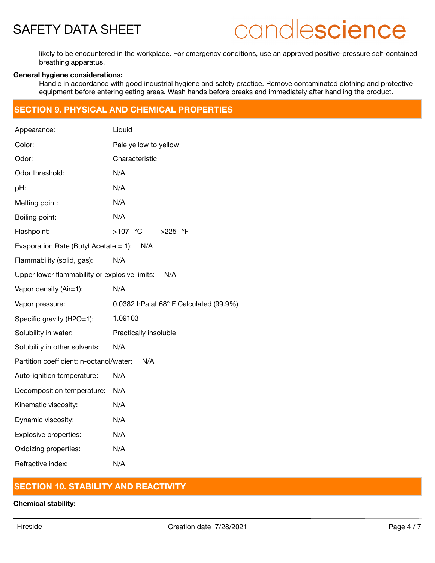# candlescience

likely to be encountered in the workplace. For emergency conditions, use an approved positive-pressure self-contained breathing apparatus.

#### **General hygiene considerations:**

Handle in accordance with good industrial hygiene and safety practice. Remove contaminated clothing and protective equipment before entering eating areas. Wash hands before breaks and immediately after handling the product.

## **SECTION 9. PHYSICAL AND CHEMICAL PROPERTIES**

| Appearance:                                          | Liquid                                 |  |  |  |  |
|------------------------------------------------------|----------------------------------------|--|--|--|--|
| Color:                                               | Pale yellow to yellow                  |  |  |  |  |
| Odor:                                                | Characteristic                         |  |  |  |  |
| Odor threshold:                                      | N/A                                    |  |  |  |  |
| pH:                                                  | N/A                                    |  |  |  |  |
| Melting point:                                       | N/A                                    |  |  |  |  |
| Boiling point:                                       | N/A                                    |  |  |  |  |
| Flashpoint:                                          | $>107$ °C<br>>225 °F                   |  |  |  |  |
| Evaporation Rate (Butyl Acetate $= 1$ ):<br>N/A      |                                        |  |  |  |  |
| Flammability (solid, gas):                           | N/A                                    |  |  |  |  |
| Upper lower flammability or explosive limits:<br>N/A |                                        |  |  |  |  |
| Vapor density (Air=1):                               | N/A                                    |  |  |  |  |
| Vapor pressure:                                      | 0.0382 hPa at 68° F Calculated (99.9%) |  |  |  |  |
| Specific gravity (H2O=1):                            | 1.09103                                |  |  |  |  |
| Solubility in water:                                 | Practically insoluble                  |  |  |  |  |
| Solubility in other solvents:                        | N/A                                    |  |  |  |  |
| Partition coefficient: n-octanol/water:<br>N/A       |                                        |  |  |  |  |
| Auto-ignition temperature:                           | N/A                                    |  |  |  |  |
| Decomposition temperature:                           | N/A                                    |  |  |  |  |
| Kinematic viscosity:                                 | N/A                                    |  |  |  |  |
| Dynamic viscosity:                                   | N/A                                    |  |  |  |  |
| Explosive properties:                                | N/A                                    |  |  |  |  |
| Oxidizing properties:                                | N/A                                    |  |  |  |  |
| Refractive index:                                    | N/A                                    |  |  |  |  |

## **SECTION 10. STABILITY AND REACTIVITY**

**Chemical stability:**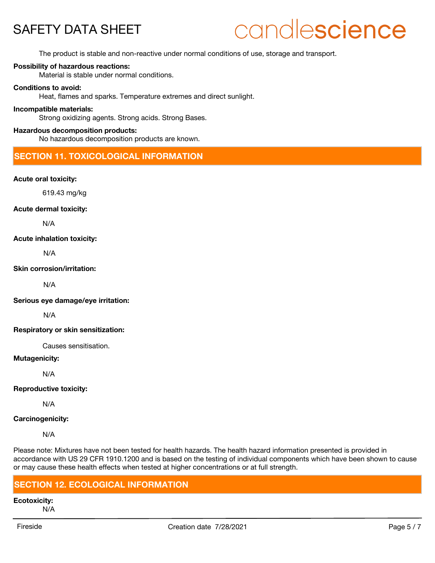# candlescience

The product is stable and non-reactive under normal conditions of use, storage and transport.

#### **Possibility of hazardous reactions:**

Material is stable under normal conditions.

#### **Conditions to avoid:**

Heat, flames and sparks. Temperature extremes and direct sunlight.

#### **Incompatible materials:**

Strong oxidizing agents. Strong acids. Strong Bases.

#### **Hazardous decomposition products:**

No hazardous decomposition products are known.

## **SECTION 11. TOXICOLOGICAL INFORMATION**

#### **Acute oral toxicity:**

619.43 mg/kg

#### **Acute dermal toxicity:**

N/A

#### **Acute inhalation toxicity:**

N/A

#### **Skin corrosion/irritation:**

N/A

**Serious eye damage/eye irritation:**

N/A

#### **Respiratory or skin sensitization:**

Causes sensitisation.

#### **Mutagenicity:**

N/A

#### **Reproductive toxicity:**

N/A

#### **Carcinogenicity:**

N/A

Please note: Mixtures have not been tested for health hazards. The health hazard information presented is provided in accordance with US 29 CFR 1910.1200 and is based on the testing of individual components which have been shown to cause or may cause these health effects when tested at higher concentrations or at full strength.

### **SECTION 12. ECOLOGICAL INFORMATION**

**Ecotoxicity:**

N/A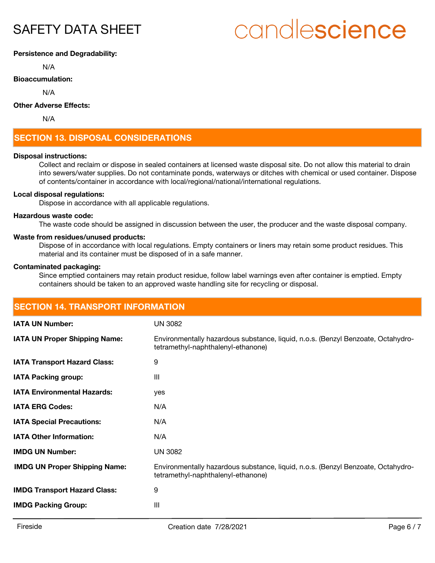# candlescience

#### **Persistence and Degradability:**

N/A

#### **Bioaccumulation:**

N/A

#### **Other Adverse Effects:**

N/A

# **SECTION 13. DISPOSAL CONSIDERATIONS**

#### **Disposal instructions:**

Collect and reclaim or dispose in sealed containers at licensed waste disposal site. Do not allow this material to drain into sewers/water supplies. Do not contaminate ponds, waterways or ditches with chemical or used container. Dispose of contents/container in accordance with local/regional/national/international regulations.

#### **Local disposal regulations:**

Dispose in accordance with all applicable regulations.

#### **Hazardous waste code:**

The waste code should be assigned in discussion between the user, the producer and the waste disposal company.

#### **Waste from residues/unused products:**

Dispose of in accordance with local regulations. Empty containers or liners may retain some product residues. This material and its container must be disposed of in a safe manner.

#### **Contaminated packaging:**

Since emptied containers may retain product residue, follow label warnings even after container is emptied. Empty containers should be taken to an approved waste handling site for recycling or disposal.

| <b>SECTION 14. TRANSPORT INFORMATION</b> |                                                                                                                        |  |  |  |
|------------------------------------------|------------------------------------------------------------------------------------------------------------------------|--|--|--|
| <b>IATA UN Number:</b>                   | <b>UN 3082</b>                                                                                                         |  |  |  |
| <b>IATA UN Proper Shipping Name:</b>     | Environmentally hazardous substance, liquid, n.o.s. (Benzyl Benzoate, Octahydro-<br>tetramethyl-naphthalenyl-ethanone) |  |  |  |
| <b>IATA Transport Hazard Class:</b>      | 9                                                                                                                      |  |  |  |
| <b>IATA Packing group:</b>               | $\mathbf{III}$                                                                                                         |  |  |  |
| <b>IATA Environmental Hazards:</b>       | yes                                                                                                                    |  |  |  |
| <b>IATA ERG Codes:</b>                   | N/A                                                                                                                    |  |  |  |
| <b>IATA Special Precautions:</b>         | N/A                                                                                                                    |  |  |  |
| <b>IATA Other Information:</b>           | N/A                                                                                                                    |  |  |  |
| <b>IMDG UN Number:</b>                   | <b>UN 3082</b>                                                                                                         |  |  |  |
| <b>IMDG UN Proper Shipping Name:</b>     | Environmentally hazardous substance, liquid, n.o.s. (Benzyl Benzoate, Octahydro-<br>tetramethyl-naphthalenyl-ethanone) |  |  |  |
| <b>IMDG Transport Hazard Class:</b>      | 9                                                                                                                      |  |  |  |
| <b>IMDG Packing Group:</b>               | III                                                                                                                    |  |  |  |